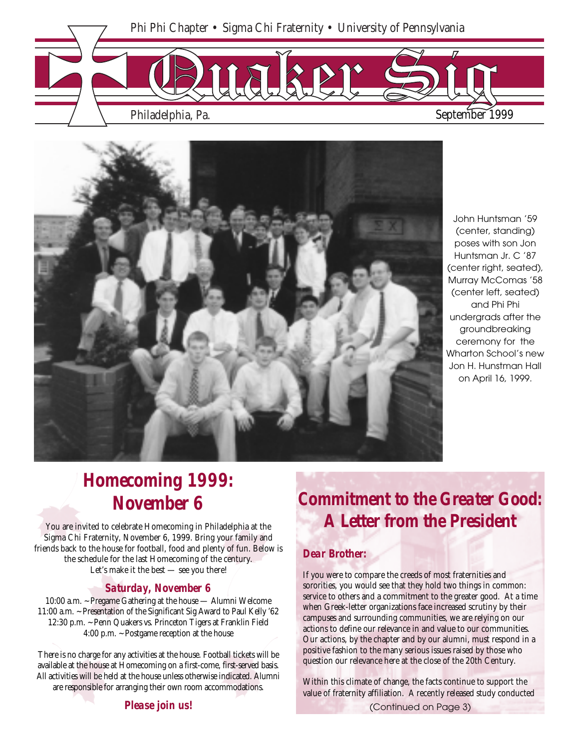



John Huntsman '59 (center, standing) poses with son Jon Huntsman Jr. C '87 (center right, seated), Murray McComas '58 (center left, seated) and Phi Phi undergrads after the groundbreaking ceremony for the Wharton School's new Jon H. Hunstman Hall on April 16, 1999.

# *Homecoming 1999: November 6*

You are invited to celebrate Homecoming in Philadelphia at the Sigma Chi Fraternity, November 6, 1999. Bring your family and friends back to the house for football, food and plenty of fun. Below is the schedule for the last Homecoming of the century. Let's make it the best — see you there!

#### *Saturday, November 6*

10:00 a.m. ~ Pregame Gathering at the house — Alumni Welcome 11:00 a.m. ~ Presentation of the Significant Sig Award to Paul Kelly '62 12:30 p.m. ~ Penn Quakers vs. Princeton Tigers at Franklin Field 4:00 p.m. ~ Postgame reception at the house

There is no charge for any activities at the house. Football tickets will be available at the house at Homecoming on a first-come, first-served basis. All activities will be held at the house unless otherwise indicated. Alumni are responsible for arranging their own room accommodations.

# *Commitment to the Greater Good: A Letter from the President*

## *Dear Brother:*

If you were to compare the creeds of most fraternities and sororities, you would see that they hold two things in common: service to others and a commitment to the greater good. At a time when Greek-letter organizations face increased scrutiny by their campuses and surrounding communities, we are relying on our actions to define our relevance in and value to our communities. Our actions, by the chapter and by our alumni, must respond in a positive fashion to the many serious issues raised by those who question our relevance here at the close of the 20th Century.

Within this climate of change, the facts continue to support the value of fraternity affiliation. A recently released study conducted

*Please join us!*

(Continued on Page 3)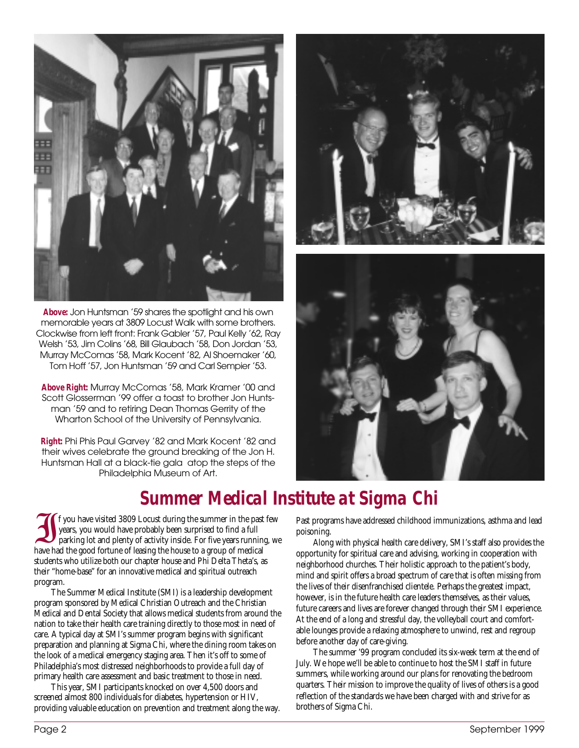

*Above:* Jon Huntsman '59 shares the spotlight and his own memorable years at 3809 Locust Walk with some brothers. Clockwise from left front: Frank Gabler '57, Paul Kelly '62, Ray Welsh '53, Jim Colins '68, Bill Glaubach '58, Don Jordan '53, Murray McComas '58, Mark Kocent '82, Al Shoemaker '60, Tom Hoff '57, Jon Huntsman '59 and Carl Sempier '53.

*Above Right:* Murray McComas '58, Mark Kramer '00 and Scott Glosserman '99 offer a toast to brother Jon Huntsman '59 and to retiring Dean Thomas Gerrity of the Wharton School of the University of Pennsylvania.

*Right:* Phi Phis Paul Garvey '82 and Mark Kocent '82 and their wives celebrate the ground breaking of the Jon H. Huntsman Hall at a black-tie gala atop the steps of the Philadelphia Museum of Art.





# *Summer Medical Institute at Sigma Chi*

If you have visited 3809 Locust during the summer in the past few years, you would have probably been surprised to find a full parking lot and plenty of activity inside. For five years running, we have had the good fortune of leasing the house to a group of medical students who utilize both our chapter house and Phi Delta Theta's, as their "home-base" for an innovative medical and spiritual outreach program.

The Summer Medical Institute (SMI) is a leadership development program sponsored by Medical Christian Outreach and the Christian Medical and Dental Society that allows medical students from around the nation to take their health care training directly to those most in need of care. A typical day at SMI's summer program begins with significant preparation and planning at Sigma Chi, where the dining room takes on the look of a medical emergency staging area. Then it's off to some of Philadelphia's most distressed neighborhoods to provide a full day of primary health care assessment and basic treatment to those in need.

This year, SMI participants knocked on over 4,500 doors and screened almost 800 individuals for diabetes, hypertension or HIV, providing valuable education on prevention and treatment along the way. Past programs have addressed childhood immunizations, asthma and lead poisoning.

Along with physical health care delivery, SMI's staff also provides the opportunity for spiritual care and advising, working in cooperation with neighborhood churches. Their holistic approach to the patient's body, mind and spirit offers a broad spectrum of care that is often missing from the lives of their disenfranchised clientele. Perhaps the greatest impact, however, is in the future health care leaders themselves, as their values, future careers and lives are forever changed through their SMI experience. At the end of a long and stressful day, the volleyball court and comfortable lounges provide a relaxing atmosphere to unwind, rest and regroup before another day of care-giving.

The summer '99 program concluded its six-week term at the end of July. We hope we'll be able to continue to host the SMI staff in future summers, while working around our plans for renovating the bedroom quarters. Their mission to improve the quality of lives of others is a good reflection of the standards we have been charged with and strive for as brothers of Sigma Chi.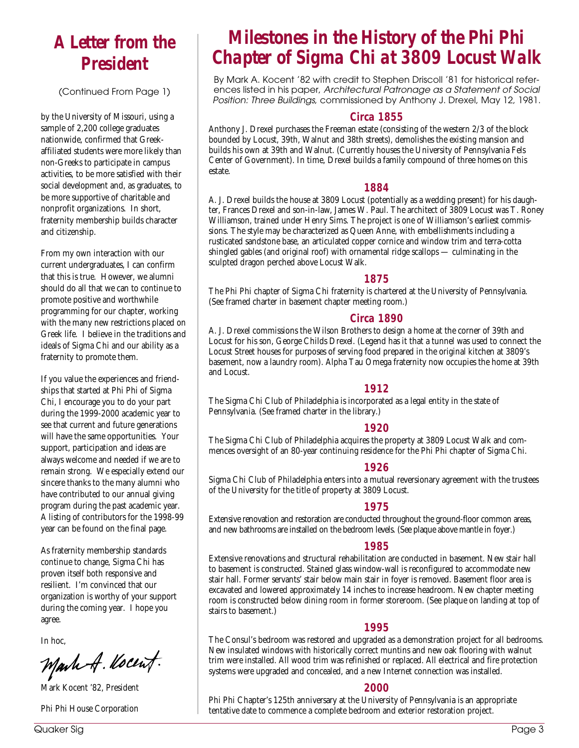# *A Letter from the President*

(Continued From Page 1)

by the University of Missouri, using a sample of 2,200 college graduates nationwide, confirmed that Greekaffiliated students were more likely than non-Greeks to participate in campus activities, to be more satisfied with their social development and, as graduates, to be more supportive of charitable and nonprofit organizations. In short, fraternity membership builds character and citizenship.

From my own interaction with our current undergraduates, I can confirm that this is true. However, we alumni should do all that we can to continue to promote positive and worthwhile programming for our chapter, working with the many new restrictions placed on Greek life. I believe in the traditions and ideals of Sigma Chi and our ability as a fraternity to promote them.

If you value the experiences and friendships that started at Phi Phi of Sigma Chi, I encourage you to do your part during the 1999-2000 academic year to see that current and future generations will have the same opportunities. Your support, participation and ideas are always welcome and needed if we are to remain strong. We especially extend our sincere thanks to the many alumni who have contributed to our annual giving program during the past academic year. A listing of contributors for the 1998-99 year can be found on the final page.

As fraternity membership standards continue to change, Sigma Chi has proven itself both responsive and resilient. I'm convinced that our organization is worthy of your support during the coming year. I hope you agree.

In hoc,

Mark A. Kocent.

Mark Kocent '82, President

Phi Phi House Corporation

# *Milestones in the History of the Phi Phi Chapter of Sigma Chi at 3809 Locust Walk*

By Mark A. Kocent '82 with credit to Stephen Driscoll '81 for historical references listed in his paper, Architectural Patronage as a Statement of Social Position: Three Buildings, commissioned by Anthony J. Drexel, May 12, 1981.

## *Circa 1855*

Anthony J. Drexel purchases the Freeman estate (consisting of the western 2/3 of the block bounded by Locust, 39th, Walnut and 38th streets), demolishes the existing mansion and builds his own at 39th and Walnut. (Currently houses the University of Pennsylvania Fels Center of Government). In time, Drexel builds a family compound of three homes on this estate.

#### *1884*

A. J. Drexel builds the house at 3809 Locust (potentially as a wedding present) for his daughter, Frances Drexel and son-in-law, James W. Paul. The architect of 3809 Locust was T. Roney Williamson, trained under Henry Sims. The project is one of Williamson's earliest commissions. The style may be characterized as Queen Anne, with embellishments including a rusticated sandstone base, an articulated copper cornice and window trim and terra-cotta shingled gables (and original roof) with ornamental ridge scallops — culminating in the sculpted dragon perched above Locust Walk.

#### *1875*

The Phi Phi chapter of Sigma Chi fraternity is chartered at the University of Pennsylvania. (See framed charter in basement chapter meeting room.)

#### *Circa 1890*

A. J. Drexel commissions the Wilson Brothers to design a home at the corner of 39th and Locust for his son, George Childs Drexel. (Legend has it that a tunnel was used to connect the Locust Street houses for purposes of serving food prepared in the original kitchen at 3809's basement, now a laundry room). Alpha Tau Omega fraternity now occupies the home at 39th and Locust.

## *1912*

The Sigma Chi Club of Philadelphia is incorporated as a legal entity in the state of Pennsylvania. (See framed charter in the library.)

#### *1920*

The Sigma Chi Club of Philadelphia acquires the property at 3809 Locust Walk and commences oversight of an 80-year continuing residence for the Phi Phi chapter of Sigma Chi.

## *1926*

Sigma Chi Club of Philadelphia enters into a mutual reversionary agreement with the trustees of the University for the title of property at 3809 Locust.

## *1975*

Extensive renovation and restoration are conducted throughout the ground-floor common areas, and new bathrooms are installed on the bedroom levels. (See plaque above mantle in foyer.)

#### *1985*

Extensive renovations and structural rehabilitation are conducted in basement. New stair hall to basement is constructed. Stained glass window-wall is reconfigured to accommodate new stair hall. Former servants' stair below main stair in foyer is removed. Basement floor area is excavated and lowered approximately 14 inches to increase headroom. New chapter meeting room is constructed below dining room in former storeroom. (See plaque on landing at top of stairs to basement.)

## *1995*

The Consul's bedroom was restored and upgraded as a demonstration project for all bedrooms. New insulated windows with historically correct muntins and new oak flooring with walnut trim were installed. All wood trim was refinished or replaced. All electrical and fire protection systems were upgraded and concealed, and a new Internet connection was installed.

## *2000*

Phi Phi Chapter's 125th anniversary at the University of Pennsylvania is an appropriate tentative date to commence a complete bedroom and exterior restoration project.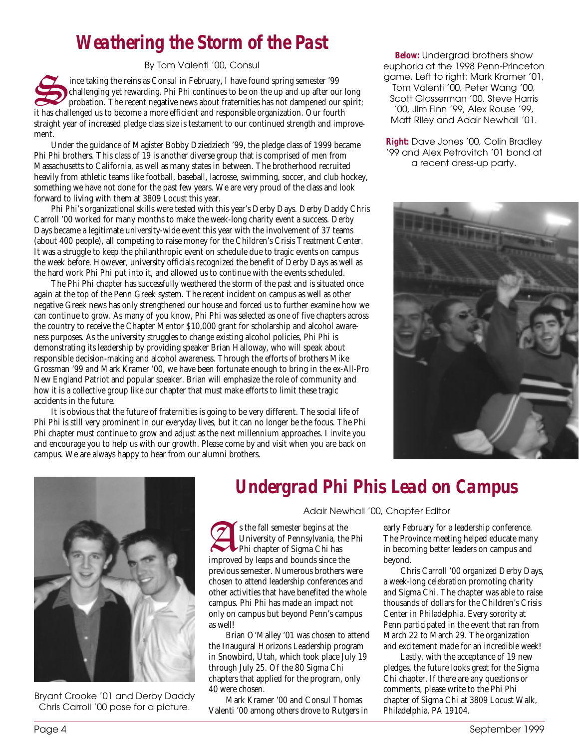# *Weathering the Storm of the Past*

By Tom Valenti '00, Consul

ince taking the reins as Consul in February, I have found spring semester '99 challenging yet rewarding. Phi Phi continues to be on the up and up after our long probation. The recent negative news about fraternities has not dampened our spirit; it has challenged us to become a more efficient and responsible organization. Our fourth straight year of increased pledge class size is testament to our continued strength and improvement.

Under the guidance of Magister Bobby Dziedziech '99, the pledge class of 1999 became Phi Phi brothers. This class of 19 is another diverse group that is comprised of men from Massachusetts to California, as well as many states in between. The brotherhood recruited heavily from athletic teams like football, baseball, lacrosse, swimming, soccer, and club hockey, something we have not done for the past few years. We are very proud of the class and look forward to living with them at 3809 Locust this year.

Phi Phi's organizational skills were tested with this year's Derby Days. Derby Daddy Chris Carroll '00 worked for many months to make the week-long charity event a success. Derby Days became a legitimate university-wide event this year with the involvement of 37 teams (about 400 people), all competing to raise money for the Children's Crisis Treatment Center. It was a struggle to keep the philanthropic event on schedule due to tragic events on campus the week before. However, university officials recognized the benefit of Derby Days as well as the hard work Phi Phi put into it, and allowed us to continue with the events scheduled.

The Phi Phi chapter has successfully weathered the storm of the past and is situated once again at the top of the Penn Greek system. The recent incident on campus as well as other negative Greek news has only strengthened our house and forced us to further examine how we can continue to grow. As many of you know, Phi Phi was selected as one of five chapters across the country to receive the Chapter Mentor \$10,000 grant for scholarship and alcohol awareness purposes. As the university struggles to change existing alcohol policies, Phi Phi is demonstrating its leadership by providing speaker Brian Halloway, who will speak about responsible decision-making and alcohol awareness. Through the efforts of brothers Mike Grossman '99 and Mark Kramer '00, we have been fortunate enough to bring in the ex-All-Pro New England Patriot and popular speaker. Brian will emphasize the role of community and how it is a collective group like our chapter that must make efforts to limit these tragic accidents in the future.

It is obvious that the future of fraternities is going to be very different. The social life of Phi Phi is still very prominent in our everyday lives, but it can no longer be the focus. The Phi Phi chapter must continue to grow and adjust as the next millennium approaches. I invite you and encourage you to help us with our growth. Please come by and visit when you are back on campus. We are always happy to hear from our alumni brothers.

*Below:* Undergrad brothers show euphoria at the 1998 Penn-Princeton game. Left to right: Mark Kramer '01, Tom Valenti '00, Peter Wang '00, Scott Glosserman '00, Steve Harris '00, Jim Finn '99, Alex Rouse '99, Matt Riley and Adair Newhall '01.

*Right:* Dave Jones '00, Colin Bradley '99 and Alex Petrovitch '01 bond at a recent dress-up party.





Bryant Crooke '01 and Derby Daddy Chris Carroll '00 pose for a picture.

# *Undergrad Phi Phis Lead on Campus*

Adair Newhall '00, Chapter Editor

s the fall semester begins at the<br>
University of Pennsylvania, the<br>
Phi chapter of Sigma Chi has<br>
impact the long and boundaring the University of Pennsylvania, the Phi improved by leaps and bounds since the previous semester. Numerous brothers were chosen to attend leadership conferences and other activities that have benefited the whole campus. Phi Phi has made an impact not only on campus but beyond Penn's campus as well!

Brian O'Malley '01 was chosen to attend the Inaugural Horizons Leadership program in Snowbird, Utah, which took place July 19 through July 25. Of the 80 Sigma Chi chapters that applied for the program, only 40 were chosen.

Mark Kramer '00 and Consul Thomas Valenti '00 among others drove to Rutgers in early February for a leadership conference. The Province meeting helped educate many in becoming better leaders on campus and beyond.

Chris Carroll '00 organized Derby Days, a week-long celebration promoting charity and Sigma Chi. The chapter was able to raise thousands of dollars for the Children's Crisis Center in Philadelphia. Every sorority at Penn participated in the event that ran from March 22 to March 29. The organization and excitement made for an incredible week!

Lastly, with the acceptance of 19 new pledges, the future looks great for the Sigma Chi chapter. If there are any questions or comments, please write to the Phi Phi chapter of Sigma Chi at 3809 Locust Walk, Philadelphia, PA 19104.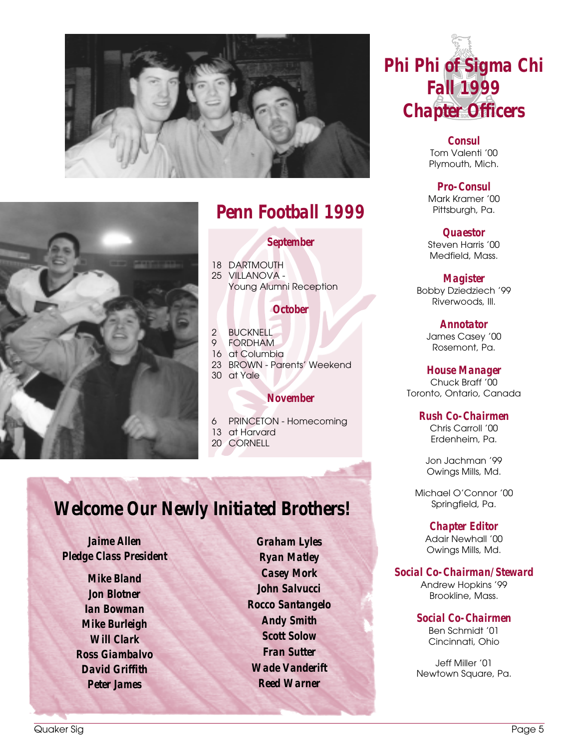



# *Penn Football 1999*

## *September*

18 DARTMOUTH 25 VILLANOVA - Young Alumni Reception

## *October*

2 BUCKNELL<br>9 FORDHAM **FORDHAM** 16 at Columbia 23 BROWN - Parents' Weekend 30 at Yale

## *November*

6 PRINCETON - Homecoming 13 at Harvard

20 CORNELL

# *Welcome Our Newly Initiated Brothers!*

*Jaime Allen Pledge Class President*

> *Mike Bland Jon Blotner Ian Bowman Mike Burleigh Will Clark Ross Giambalvo David Griffith Peter James*

*Graham Lyles Ryan Matley Casey Mork John Salvucci Rocco Santangelo Andy Smith Scott Solow Fran Sutter Wade Vanderift Reed Warner*

*Phi Phi of Sigma Chi Fall 1999 Chapter Officers*

> *Consul* Tom Valenti '00 Plymouth, Mich.

*Pro-Consul* Mark Kramer '00 Pittsburgh, Pa.

*Quaestor* Steven Harris '00 Medfield, Mass.

*Magister* Bobby Dziedziech '99 Riverwoods, Ill.

> *Annotator* James Casey '00 Rosemont, Pa.

*House Manager*

Chuck Braff '00 Toronto, Ontario, Canada

## *Rush Co-Chairmen*

Chris Carroll '00 Erdenheim, Pa.

Jon Jachman '99 Owings Mills, Md.

Michael O'Connor '00 Springfield, Pa.

> *Chapter Editor* Adair Newhall '00 Owings Mills, Md.

*Social Co-Chairman/Steward*

Andrew Hopkins '99 Brookline, Mass.

*Social Co-Chairmen* Ben Schmidt '01 Cincinnati, Ohio

Jeff Miller '01 Newtown Square, Pa.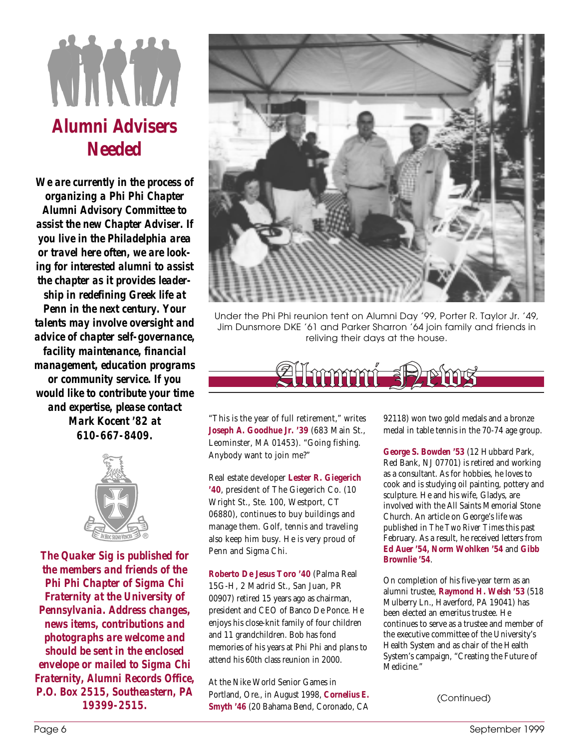# WIND *Alumni Advisers Needed*

*We are currently in the process of organizing a Phi Phi Chapter Alumni Advisory Committee to assist the new Chapter Adviser. If you live in the Philadelphia area or travel here often, we are looking for interested alumni to assist the chapter as it provides leadership in redefining Greek life at Penn in the next century. Your talents may involve oversight and advice of chapter self-governance, facility maintenance, financial management, education programs or community service. If you would like to contribute your time and expertise, please contact Mark Kocent '82 at 610-667-8409.*



*The Quaker Sig is published for the members and friends of the Phi Phi Chapter of Sigma Chi Fraternity at the University of Pennsylvania. Address changes, news items, contributions and photographs are welcome and should be sent in the enclosed envelope or mailed to Sigma Chi Fraternity, Alumni Records Office, P.O. Box 2515, Southeastern, PA*



Under the Phi Phi reunion tent on Alumni Day '99, Porter R. Taylor Jr. '49, Jim Dunsmore DKE '61 and Parker Sharron '64 join family and friends in reliving their days at the house.



"This is the year of full retirement," writes **Joseph A. Goodhue Jr. '39** (683 Main St., Leominster, MA 01453). "Going fishing. Anybody want to join me?"

Real estate developer **Lester R. Giegerich '40**, president of The Giegerich Co. (10 Wright St., Ste. 100, Westport, CT 06880), continues to buy buildings and manage them. Golf, tennis and traveling also keep him busy. He is very proud of Penn and Sigma Chi.

**Roberto De Jesus Toro '40** (Palma Real 15G-H, 2 Madrid St., San Juan, PR 00907) retired 15 years ago as chairman, president and CEO of Banco De Ponce. He enjoys his close-knit family of four children and 11 grandchildren. Bob has fond memories of his years at Phi Phi and plans to attend his 60th class reunion in 2000.

At the Nike World Senior Games in Portland, Ore., in August 1998, **Cornelius E. Smyth '46** (20 Bahama Bend, Coronado, CA *19399-2515.* (Continued)

92118) won two gold medals and a bronze medal in table tennis in the 70-74 age group.

**George S. Bowden '53** (12 Hubbard Park, Red Bank, NJ 07701) is retired and working as a consultant. As for hobbies, he loves to cook and is studying oil painting, pottery and sculpture. He and his wife, Gladys, are involved with the All Saints Memorial Stone Church. An article on George's life was published in *The Two River Times* this past February. As a result, he received letters from **Ed Auer '54, Norm Wohlken '54** and **Gibb Brownlie '54**.

On completion of his five-year term as an alumni trustee, **Raymond H. Welsh '53** (518 Mulberry Ln., Haverford, PA 19041) has been elected an emeritus trustee. He continues to serve as a trustee and member of the executive committee of the University's Health System and as chair of the Health System's campaign, "Creating the Future of Medicine."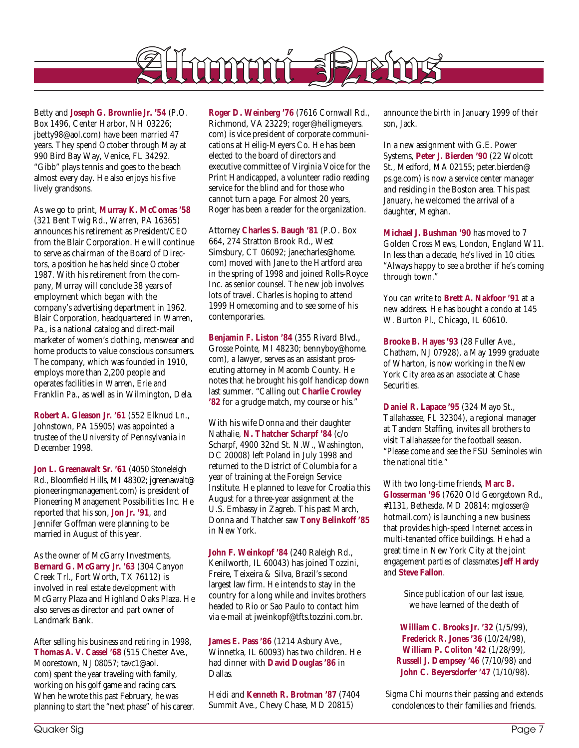

Betty and **Joseph G. Brownlie Jr. '54** (P.O. Box 1496, Center Harbor, NH 03226; jbetty98@aol.com) have been married 47 years. They spend October through May at 990 Bird Bay Way, Venice, FL 34292. "Gibb" plays tennis and goes to the beach almost every day. He also enjoys his five lively grandsons.

As we go to print, **Murray K. McComas '58** (321 Bent Twig Rd., Warren, PA 16365) announces his retirement as President/CEO from the Blair Corporation. He will continue to serve as chairman of the Board of Directors, a position he has held since October 1987. With his retirement from the company, Murray will conclude 38 years of employment which began with the company's advertising department in 1962. Blair Corporation, headquartered in Warren, Pa., is a national catalog and direct-mail marketer of women's clothing, menswear and home products to value conscious consumers. The company, which was founded in 1910, employs more than 2,200 people and operates facilities in Warren, Erie and Franklin Pa., as well as in Wilmington, Dela.

**Robert A. Gleason Jr. '61** (552 Elknud Ln., Johnstown, PA 15905) was appointed a trustee of the University of Pennsylvania in December 1998.

**Jon L. Greenawalt Sr. '61** (4050 Stoneleigh Rd., Bloomfield Hills, MI 48302; jgreenawalt@ pioneeringmanagement.com) is president of Pioneering Management Possibilities Inc. He reported that his son, **Jon Jr. '91**, and Jennifer Goffman were planning to be married in August of this year.

As the owner of McGarry Investments, **Bernard G. McGarry Jr. '63** (304 Canyon Creek Trl., Fort Worth, TX 76112) is involved in real estate development with McGarry Plaza and Highland Oaks Plaza. He also serves as director and part owner of Landmark Bank.

After selling his business and retiring in 1998, **Thomas A. V. Cassel '68** (515 Chester Ave., Moorestown, NJ 08057; tavc1@aol. com) spent the year traveling with family, working on his golf game and racing cars. When he wrote this past February, he was planning to start the "next phase" of his career. **Roger D. Weinberg '76** (7616 Cornwall Rd., Richmond, VA 23229; roger@heiligmeyers. com) is vice president of corporate communications at Heilig-Meyers Co. He has been elected to the board of directors and executive committee of Virginia Voice for the Print Handicapped, a volunteer radio reading service for the blind and for those who cannot turn a page. For almost 20 years, Roger has been a reader for the organization.

Attorney **Charles S. Baugh '81** (P.O. Box 664, 274 Stratton Brook Rd., West Simsbury, CT 06092; janecharles@home. com) moved with Jane to the Hartford area in the spring of 1998 and joined Rolls-Royce Inc. as senior counsel. The new job involves lots of travel. Charles is hoping to attend 1999 Homecoming and to see some of his contemporaries.

**Benjamin F. Liston '84** (355 Rivard Blvd., Grosse Pointe, MI 48230; bennyboy@home. com), a lawyer, serves as an assistant prosecuting attorney in Macomb County. He notes that he brought his golf handicap down last summer. "Calling out **Charlie Crowley '82** for a grudge match, my course or his."

With his wife Donna and their daughter Nathalie, **N. Thatcher Scharpf '84** (c/o Scharpf, 4900 32nd St. N.W., Washington, DC 20008) left Poland in July 1998 and returned to the District of Columbia for a year of training at the Foreign Service Institute. He planned to leave for Croatia this August for a three-year assignment at the U.S. Embassy in Zagreb. This past March, Donna and Thatcher saw **Tony Belinkoff '85** in New York.

**John F. Weinkopf '84** (240 Raleigh Rd., Kenilworth, IL 60043) has joined Tozzini, Freire, Teixeira & Silva, Brazil's second largest law firm. He intends to stay in the country for a long while and invites brothers headed to Rio or Sao Paulo to contact him via e-mail at jweinkopf@tfts.tozzini.com.br.

**James E. Pass '86** (1214 Asbury Ave., Winnetka, IL 60093) has two children. He had dinner with **David Douglas '86** in Dallas.

Heidi and **Kenneth R. Brotman '87** (7404 Summit Ave., Chevy Chase, MD 20815)

announce the birth in January 1999 of their son, Jack.

In a new assignment with G.E. Power Systems, **Peter J. Bierden '90** (22 Wolcott St., Medford, MA 02155; peter.bierden@ ps.ge.com) is now a service center manager and residing in the Boston area. This past January, he welcomed the arrival of a daughter, Meghan.

**Michael J. Bushman '90** has moved to 7 Golden Cross Mews, London, England W11. In less than a decade, he's lived in 10 cities. "Always happy to see a brother if he's coming through town."

You can write to **Brett A. Nakfoor '91** at a new address. He has bought a condo at 145 W. Burton Pl., Chicago, IL 60610.

**Brooke B. Hayes '93** (28 Fuller Ave., Chatham, NJ 07928), a May 1999 graduate of Wharton, is now working in the New York City area as an associate at Chase Securities.

**Daniel R. Lapace '95** (324 Mayo St., Tallahassee, FL 32304), a regional manager at Tandem Staffing, invites all brothers to visit Tallahassee for the football season. "Please come and see the FSU Seminoles win the national title."

With two long-time friends, **Marc B. Glosserman '96** (7620 Old Georgetown Rd., #1131, Bethesda, MD 20814; mglosser@ hotmail.com) is launching a new business that provides high-speed Internet access in multi-tenanted office buildings. He had a great time in New York City at the joint engagement parties of classmates **Jeff Hardy** and **Steve Fallon**.

> Since publication of our last issue, we have learned of the death of

**William C. Brooks Jr. '32** (1/5/99), **Frederick R. Jones '36** (10/24/98), **William P. Coliton '42** (1/28/99), **Russell J. Dempsey '46** (7/10/98) and **John C. Beyersdorfer '47** (1/10/98).

Sigma Chi mourns their passing and extends condolences to their families and friends.